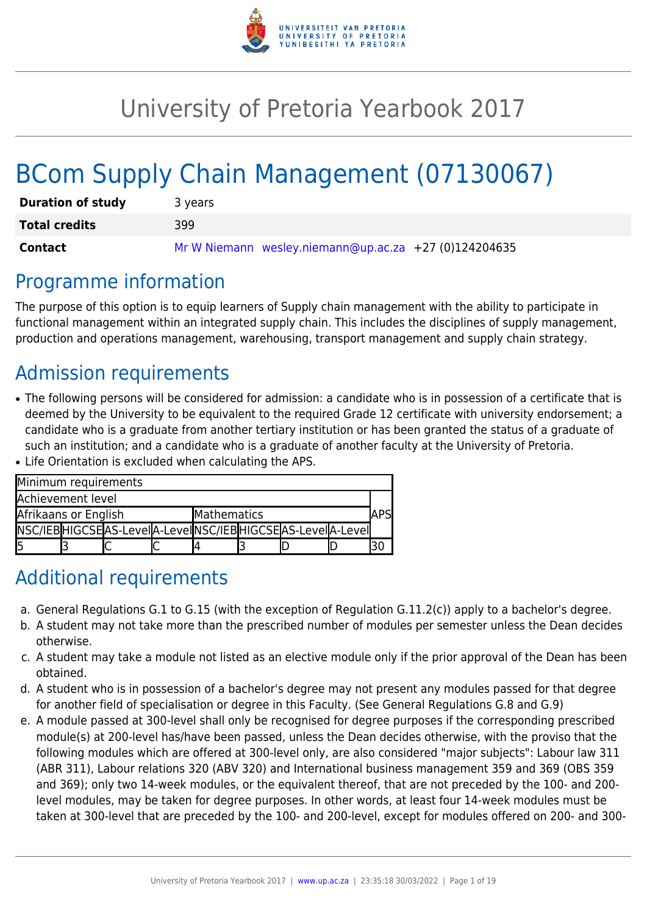

# University of Pretoria Yearbook 2017

# BCom Supply Chain Management (07130067)

| <b>Duration of study</b> | 3 years                                               |
|--------------------------|-------------------------------------------------------|
| <b>Total credits</b>     | 399                                                   |
| Contact                  | Mr W Niemann wesley.niemann@up.ac.za +27 (0)124204635 |

## Programme information

The purpose of this option is to equip learners of Supply chain management with the ability to participate in functional management within an integrated supply chain. This includes the disciplines of supply management, production and operations management, warehousing, transport management and supply chain strategy.

## Admission requirements

• The following persons will be considered for admission: a candidate who is in possession of a certificate that is deemed by the University to be equivalent to the required Grade 12 certificate with university endorsement; a candidate who is a graduate from another tertiary institution or has been granted the status of a graduate of such an institution; and a candidate who is a graduate of another faculty at the University of Pretoria. ● Life Orientation is excluded when calculating the APS.

|                      | Minimum requirements |  |                                                             |  |  |     |  |  |
|----------------------|----------------------|--|-------------------------------------------------------------|--|--|-----|--|--|
|                      | Achievement level    |  |                                                             |  |  |     |  |  |
| Afrikaans or English |                      |  | Mathematics                                                 |  |  | APS |  |  |
|                      |                      |  | INSC/IEBHIGCSEAS-LevelA-LevelINSC/IEBHIGCSEAS-LevelA-LevelI |  |  |     |  |  |
|                      |                      |  |                                                             |  |  |     |  |  |

## Additional requirements

- a. General Regulations G.1 to G.15 (with the exception of Regulation G.11.2(c)) apply to a bachelor's degree.
- b. A student may not take more than the prescribed number of modules per semester unless the Dean decides otherwise.
- c. A student may take a module not listed as an elective module only if the prior approval of the Dean has been obtained.
- d. A student who is in possession of a bachelor's degree may not present any modules passed for that degree for another field of specialisation or degree in this Faculty. (See General Regulations G.8 and G.9)
- e. A module passed at 300-level shall only be recognised for degree purposes if the corresponding prescribed module(s) at 200-level has/have been passed, unless the Dean decides otherwise, with the proviso that the following modules which are offered at 300-level only, are also considered "major subjects": Labour law 311 (ABR 311), Labour relations 320 (ABV 320) and International business management 359 and 369 (OBS 359 and 369); only two 14-week modules, or the equivalent thereof, that are not preceded by the 100- and 200 level modules, may be taken for degree purposes. In other words, at least four 14-week modules must be taken at 300-level that are preceded by the 100- and 200-level, except for modules offered on 200- and 300-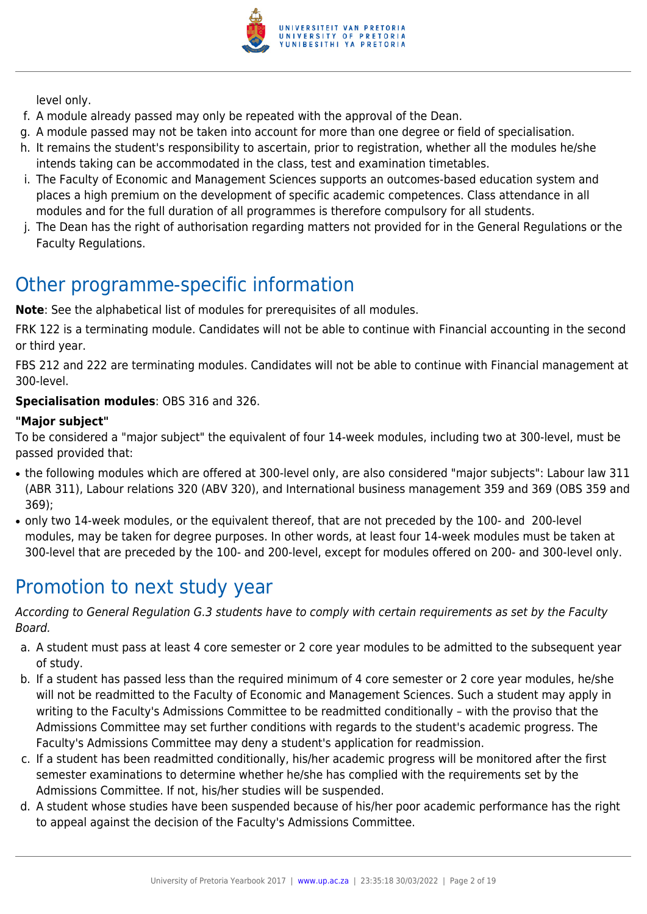

level only.

- f. A module already passed may only be repeated with the approval of the Dean.
- g. A module passed may not be taken into account for more than one degree or field of specialisation.
- h. It remains the student's responsibility to ascertain, prior to registration, whether all the modules he/she intends taking can be accommodated in the class, test and examination timetables.
- i. The Faculty of Economic and Management Sciences supports an outcomes-based education system and places a high premium on the development of specific academic competences. Class attendance in all modules and for the full duration of all programmes is therefore compulsory for all students.
- j. The Dean has the right of authorisation regarding matters not provided for in the General Regulations or the Faculty Regulations.

## Other programme-specific information

**Note**: See the alphabetical list of modules for prerequisites of all modules.

FRK 122 is a terminating module. Candidates will not be able to continue with Financial accounting in the second or third year.

FBS 212 and 222 are terminating modules. Candidates will not be able to continue with Financial management at 300-level.

### **Specialisation modules**: OBS 316 and 326.

### **"Major subject"**

To be considered a "major subject" the equivalent of four 14-week modules, including two at 300-level, must be passed provided that:

- the following modules which are offered at 300-level only, are also considered "major subjects": Labour law 311 (ABR 311), Labour relations 320 (ABV 320), and International business management 359 and 369 (OBS 359 and 369);
- only two 14-week modules, or the equivalent thereof, that are not preceded by the 100- and 200-level modules, may be taken for degree purposes. In other words, at least four 14-week modules must be taken at 300-level that are preceded by the 100- and 200-level, except for modules offered on 200- and 300-level only.

## Promotion to next study year

According to General Regulation G.3 students have to comply with certain requirements as set by the Faculty Board.

- a. A student must pass at least 4 core semester or 2 core year modules to be admitted to the subsequent year of study.
- b. If a student has passed less than the required minimum of 4 core semester or 2 core year modules, he/she will not be readmitted to the Faculty of Economic and Management Sciences. Such a student may apply in writing to the Faculty's Admissions Committee to be readmitted conditionally – with the proviso that the Admissions Committee may set further conditions with regards to the student's academic progress. The Faculty's Admissions Committee may deny a student's application for readmission.
- c. If a student has been readmitted conditionally, his/her academic progress will be monitored after the first semester examinations to determine whether he/she has complied with the requirements set by the Admissions Committee. If not, his/her studies will be suspended.
- d. A student whose studies have been suspended because of his/her poor academic performance has the right to appeal against the decision of the Faculty's Admissions Committee.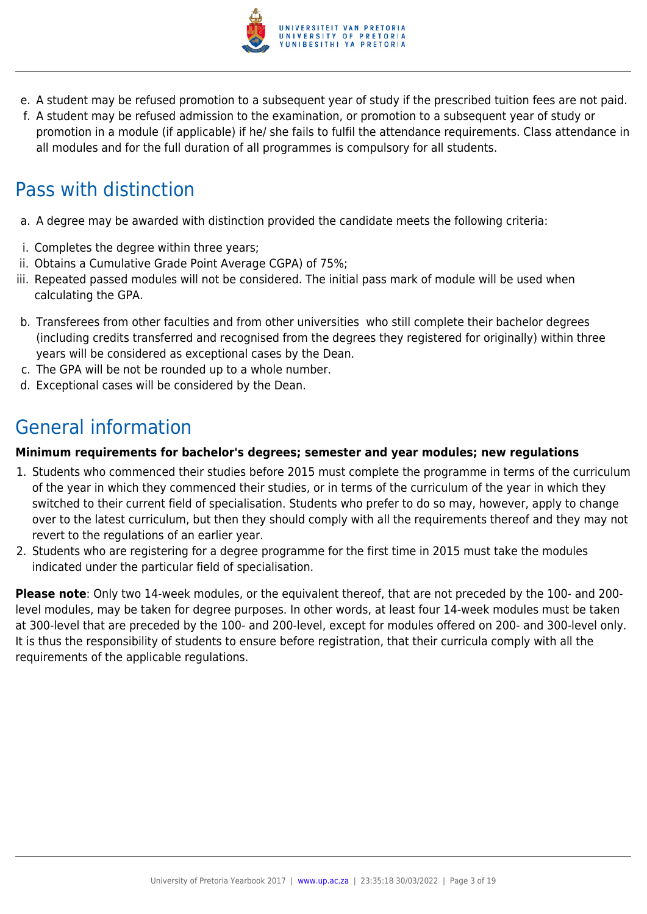

- e. A student may be refused promotion to a subsequent year of study if the prescribed tuition fees are not paid.
- f. A student may be refused admission to the examination, or promotion to a subsequent year of study or promotion in a module (if applicable) if he/ she fails to fulfil the attendance requirements. Class attendance in all modules and for the full duration of all programmes is compulsory for all students.

## Pass with distinction

- a. A degree may be awarded with distinction provided the candidate meets the following criteria:
- i. Completes the degree within three years;
- ii. Obtains a Cumulative Grade Point Average CGPA) of 75%;
- iii. Repeated passed modules will not be considered. The initial pass mark of module will be used when calculating the GPA.
- b. Transferees from other faculties and from other universities who still complete their bachelor degrees (including credits transferred and recognised from the degrees they registered for originally) within three years will be considered as exceptional cases by the Dean.
- c. The GPA will be not be rounded up to a whole number.
- d. Exceptional cases will be considered by the Dean.

## General information

### **Minimum requirements for bachelor's degrees; semester and year modules; new regulations**

- 1. Students who commenced their studies before 2015 must complete the programme in terms of the curriculum of the year in which they commenced their studies, or in terms of the curriculum of the year in which they switched to their current field of specialisation. Students who prefer to do so may, however, apply to change over to the latest curriculum, but then they should comply with all the requirements thereof and they may not revert to the regulations of an earlier year.
- 2. Students who are registering for a degree programme for the first time in 2015 must take the modules indicated under the particular field of specialisation.

**Please note**: Only two 14-week modules, or the equivalent thereof, that are not preceded by the 100- and 200 level modules, may be taken for degree purposes. In other words, at least four 14-week modules must be taken at 300-level that are preceded by the 100- and 200-level, except for modules offered on 200- and 300-level only. It is thus the responsibility of students to ensure before registration, that their curricula comply with all the requirements of the applicable regulations.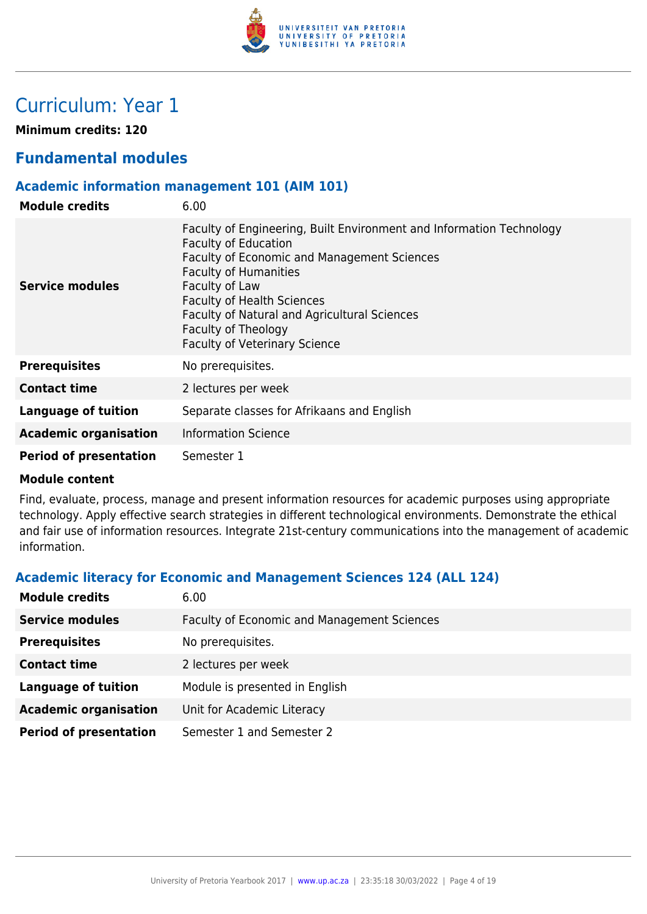

## Curriculum: Year 1

**Minimum credits: 120**

### **Fundamental modules**

### **Academic information management 101 (AIM 101)**

| <b>Module credits</b>         | 6.00                                                                                                                                                                                                                                                                                                                                                     |
|-------------------------------|----------------------------------------------------------------------------------------------------------------------------------------------------------------------------------------------------------------------------------------------------------------------------------------------------------------------------------------------------------|
| <b>Service modules</b>        | Faculty of Engineering, Built Environment and Information Technology<br><b>Faculty of Education</b><br>Faculty of Economic and Management Sciences<br><b>Faculty of Humanities</b><br>Faculty of Law<br><b>Faculty of Health Sciences</b><br>Faculty of Natural and Agricultural Sciences<br>Faculty of Theology<br><b>Faculty of Veterinary Science</b> |
| <b>Prerequisites</b>          | No prerequisites.                                                                                                                                                                                                                                                                                                                                        |
| <b>Contact time</b>           | 2 lectures per week                                                                                                                                                                                                                                                                                                                                      |
| <b>Language of tuition</b>    | Separate classes for Afrikaans and English                                                                                                                                                                                                                                                                                                               |
| <b>Academic organisation</b>  | <b>Information Science</b>                                                                                                                                                                                                                                                                                                                               |
| <b>Period of presentation</b> | Semester 1                                                                                                                                                                                                                                                                                                                                               |

### **Module content**

Find, evaluate, process, manage and present information resources for academic purposes using appropriate technology. Apply effective search strategies in different technological environments. Demonstrate the ethical and fair use of information resources. Integrate 21st-century communications into the management of academic information.

### **Academic literacy for Economic and Management Sciences 124 (ALL 124)**

| <b>Module credits</b>         | 6.00                                               |
|-------------------------------|----------------------------------------------------|
| <b>Service modules</b>        | <b>Faculty of Economic and Management Sciences</b> |
| <b>Prerequisites</b>          | No prerequisites.                                  |
| <b>Contact time</b>           | 2 lectures per week                                |
| <b>Language of tuition</b>    | Module is presented in English                     |
| <b>Academic organisation</b>  | Unit for Academic Literacy                         |
| <b>Period of presentation</b> | Semester 1 and Semester 2                          |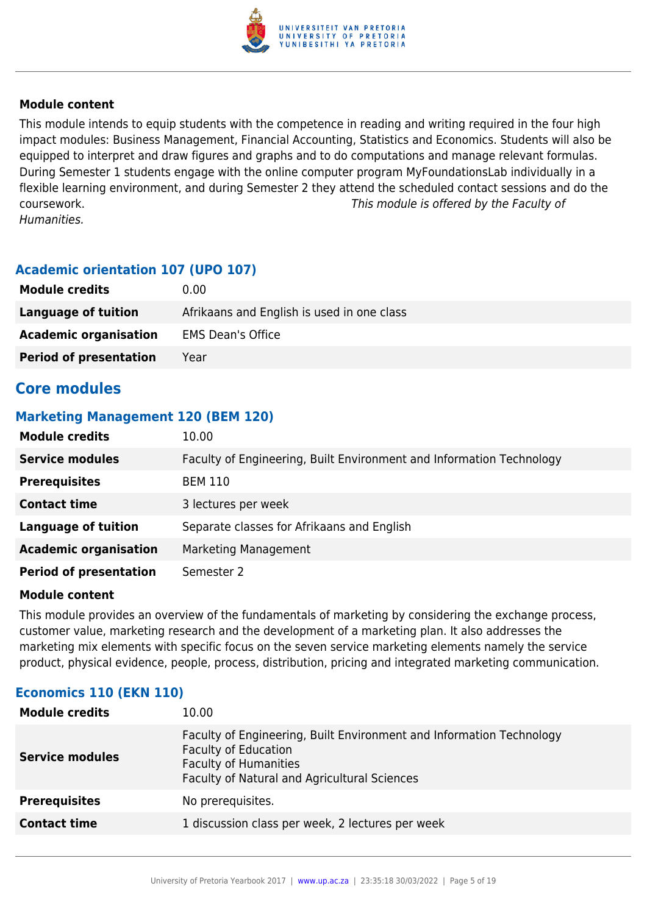

This module intends to equip students with the competence in reading and writing required in the four high impact modules: Business Management, Financial Accounting, Statistics and Economics. Students will also be equipped to interpret and draw figures and graphs and to do computations and manage relevant formulas. During Semester 1 students engage with the online computer program MyFoundationsLab individually in a flexible learning environment, and during Semester 2 they attend the scheduled contact sessions and do the coursework. This module is offered by the Faculty of Humanities.

### **Academic orientation 107 (UPO 107)**

| <b>Module credits</b>         | 0.00                                       |
|-------------------------------|--------------------------------------------|
| Language of tuition           | Afrikaans and English is used in one class |
| <b>Academic organisation</b>  | <b>EMS Dean's Office</b>                   |
| <b>Period of presentation</b> | Year                                       |

### **Core modules**

### **Marketing Management 120 (BEM 120)**

| <b>Module credits</b>         | 10.00                                                                |
|-------------------------------|----------------------------------------------------------------------|
| <b>Service modules</b>        | Faculty of Engineering, Built Environment and Information Technology |
| <b>Prerequisites</b>          | <b>BEM 110</b>                                                       |
| <b>Contact time</b>           | 3 lectures per week                                                  |
| <b>Language of tuition</b>    | Separate classes for Afrikaans and English                           |
| <b>Academic organisation</b>  | Marketing Management                                                 |
| <b>Period of presentation</b> | Semester 2                                                           |

### **Module content**

This module provides an overview of the fundamentals of marketing by considering the exchange process, customer value, marketing research and the development of a marketing plan. It also addresses the marketing mix elements with specific focus on the seven service marketing elements namely the service product, physical evidence, people, process, distribution, pricing and integrated marketing communication.

### **Economics 110 (EKN 110)**

| <b>Module credits</b>  | 10.00                                                                                                                                                                               |
|------------------------|-------------------------------------------------------------------------------------------------------------------------------------------------------------------------------------|
| <b>Service modules</b> | Faculty of Engineering, Built Environment and Information Technology<br><b>Faculty of Education</b><br><b>Faculty of Humanities</b><br>Faculty of Natural and Agricultural Sciences |
| <b>Prerequisites</b>   | No prerequisites.                                                                                                                                                                   |
| <b>Contact time</b>    | 1 discussion class per week, 2 lectures per week                                                                                                                                    |
|                        |                                                                                                                                                                                     |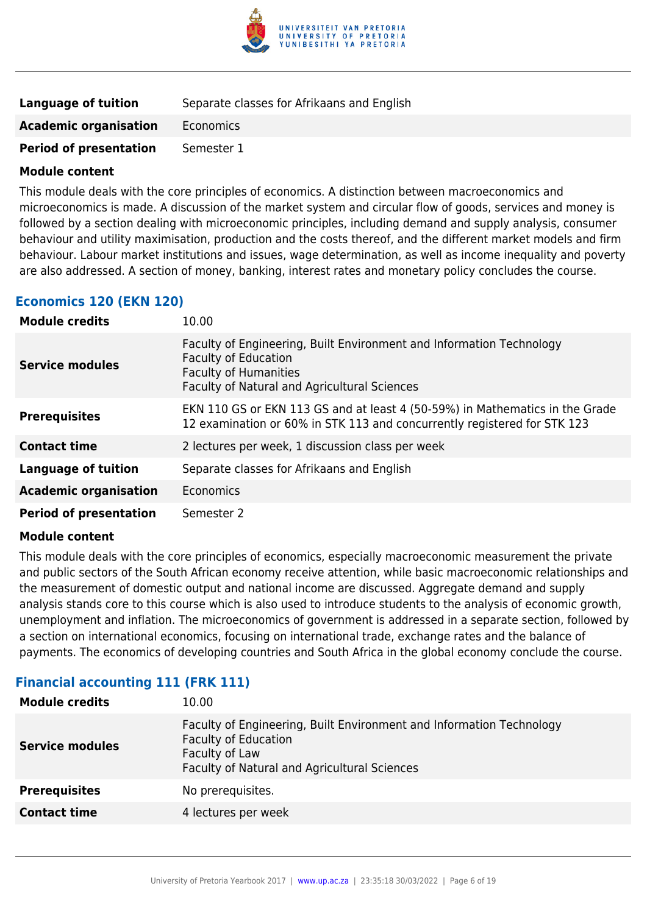

| <b>Language of tuition</b>    | Separate classes for Afrikaans and English |
|-------------------------------|--------------------------------------------|
| <b>Academic organisation</b>  | Economics                                  |
| <b>Period of presentation</b> | Semester 1                                 |

This module deals with the core principles of economics. A distinction between macroeconomics and microeconomics is made. A discussion of the market system and circular flow of goods, services and money is followed by a section dealing with microeconomic principles, including demand and supply analysis, consumer behaviour and utility maximisation, production and the costs thereof, and the different market models and firm behaviour. Labour market institutions and issues, wage determination, as well as income inequality and poverty are also addressed. A section of money, banking, interest rates and monetary policy concludes the course.

### **Economics 120 (EKN 120)**

| <b>Module credits</b>         | 10.00                                                                                                                                                                                      |
|-------------------------------|--------------------------------------------------------------------------------------------------------------------------------------------------------------------------------------------|
| <b>Service modules</b>        | Faculty of Engineering, Built Environment and Information Technology<br><b>Faculty of Education</b><br><b>Faculty of Humanities</b><br><b>Faculty of Natural and Agricultural Sciences</b> |
| <b>Prerequisites</b>          | EKN 110 GS or EKN 113 GS and at least 4 (50-59%) in Mathematics in the Grade<br>12 examination or 60% in STK 113 and concurrently registered for STK 123                                   |
| <b>Contact time</b>           | 2 lectures per week, 1 discussion class per week                                                                                                                                           |
| <b>Language of tuition</b>    | Separate classes for Afrikaans and English                                                                                                                                                 |
| <b>Academic organisation</b>  | Economics                                                                                                                                                                                  |
| <b>Period of presentation</b> | Semester 2                                                                                                                                                                                 |

### **Module content**

This module deals with the core principles of economics, especially macroeconomic measurement the private and public sectors of the South African economy receive attention, while basic macroeconomic relationships and the measurement of domestic output and national income are discussed. Aggregate demand and supply analysis stands core to this course which is also used to introduce students to the analysis of economic growth, unemployment and inflation. The microeconomics of government is addressed in a separate section, followed by a section on international economics, focusing on international trade, exchange rates and the balance of payments. The economics of developing countries and South Africa in the global economy conclude the course.

### **Financial accounting 111 (FRK 111)**

| 10.00                                                                                                                                                                 |
|-----------------------------------------------------------------------------------------------------------------------------------------------------------------------|
| Faculty of Engineering, Built Environment and Information Technology<br><b>Faculty of Education</b><br>Faculty of Law<br>Faculty of Natural and Agricultural Sciences |
| No prerequisites.                                                                                                                                                     |
| 4 lectures per week                                                                                                                                                   |
|                                                                                                                                                                       |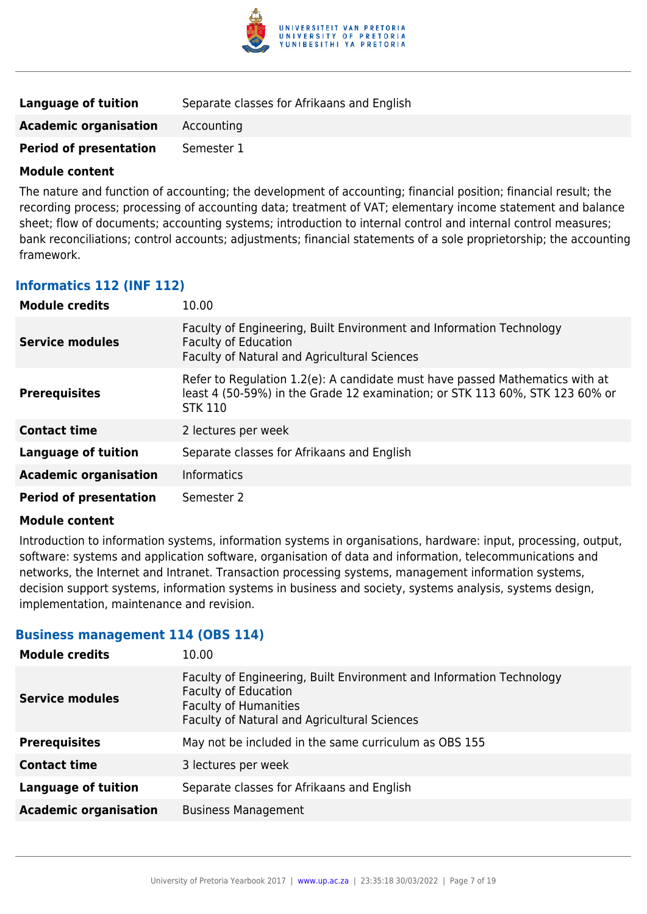

| Language of tuition           | Separate classes for Afrikaans and English |
|-------------------------------|--------------------------------------------|
| <b>Academic organisation</b>  | Accounting                                 |
| <b>Period of presentation</b> | Semester 1                                 |

The nature and function of accounting; the development of accounting; financial position; financial result; the recording process; processing of accounting data; treatment of VAT; elementary income statement and balance sheet; flow of documents; accounting systems; introduction to internal control and internal control measures; bank reconciliations; control accounts; adjustments; financial statements of a sole proprietorship; the accounting framework.

### **Informatics 112 (INF 112)**

| <b>Module credits</b>         | 10.00                                                                                                                                                                          |
|-------------------------------|--------------------------------------------------------------------------------------------------------------------------------------------------------------------------------|
| <b>Service modules</b>        | Faculty of Engineering, Built Environment and Information Technology<br><b>Faculty of Education</b><br>Faculty of Natural and Agricultural Sciences                            |
| <b>Prerequisites</b>          | Refer to Regulation 1.2(e): A candidate must have passed Mathematics with at<br>least 4 (50-59%) in the Grade 12 examination; or STK 113 60%, STK 123 60% or<br><b>STK 110</b> |
| <b>Contact time</b>           | 2 lectures per week                                                                                                                                                            |
| <b>Language of tuition</b>    | Separate classes for Afrikaans and English                                                                                                                                     |
| <b>Academic organisation</b>  | <b>Informatics</b>                                                                                                                                                             |
| <b>Period of presentation</b> | Semester 2                                                                                                                                                                     |

### **Module content**

Introduction to information systems, information systems in organisations, hardware: input, processing, output, software: systems and application software, organisation of data and information, telecommunications and networks, the Internet and Intranet. Transaction processing systems, management information systems, decision support systems, information systems in business and society, systems analysis, systems design, implementation, maintenance and revision.

### **Business management 114 (OBS 114)**

| <b>Module credits</b>        | 10.00                                                                                                                                                                               |
|------------------------------|-------------------------------------------------------------------------------------------------------------------------------------------------------------------------------------|
| <b>Service modules</b>       | Faculty of Engineering, Built Environment and Information Technology<br><b>Faculty of Education</b><br><b>Faculty of Humanities</b><br>Faculty of Natural and Agricultural Sciences |
| <b>Prerequisites</b>         | May not be included in the same curriculum as OBS 155                                                                                                                               |
| <b>Contact time</b>          | 3 lectures per week                                                                                                                                                                 |
| <b>Language of tuition</b>   | Separate classes for Afrikaans and English                                                                                                                                          |
| <b>Academic organisation</b> | <b>Business Management</b>                                                                                                                                                          |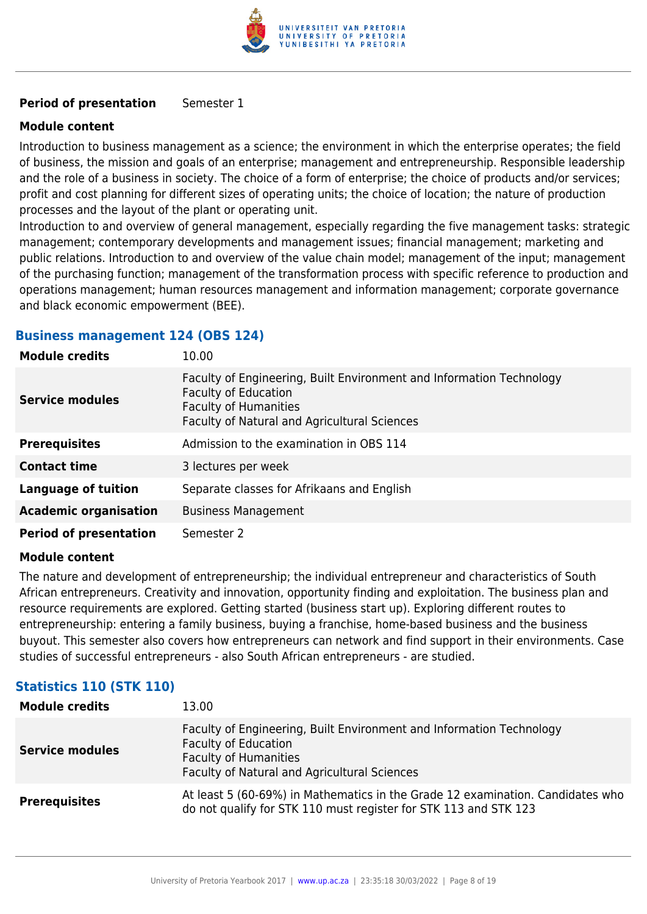

### **Period of presentation** Semester 1

### **Module content**

Introduction to business management as a science; the environment in which the enterprise operates; the field of business, the mission and goals of an enterprise; management and entrepreneurship. Responsible leadership and the role of a business in society. The choice of a form of enterprise; the choice of products and/or services; profit and cost planning for different sizes of operating units; the choice of location; the nature of production processes and the layout of the plant or operating unit.

Introduction to and overview of general management, especially regarding the five management tasks: strategic management; contemporary developments and management issues; financial management; marketing and public relations. Introduction to and overview of the value chain model; management of the input; management of the purchasing function; management of the transformation process with specific reference to production and operations management; human resources management and information management; corporate governance and black economic empowerment (BEE).

### **Business management 124 (OBS 124)**

| <b>Module credits</b>         | 10.00                                                                                                                                                                               |
|-------------------------------|-------------------------------------------------------------------------------------------------------------------------------------------------------------------------------------|
| Service modules               | Faculty of Engineering, Built Environment and Information Technology<br><b>Faculty of Education</b><br><b>Faculty of Humanities</b><br>Faculty of Natural and Agricultural Sciences |
| <b>Prerequisites</b>          | Admission to the examination in OBS 114                                                                                                                                             |
| <b>Contact time</b>           | 3 lectures per week                                                                                                                                                                 |
| <b>Language of tuition</b>    | Separate classes for Afrikaans and English                                                                                                                                          |
| <b>Academic organisation</b>  | <b>Business Management</b>                                                                                                                                                          |
| <b>Period of presentation</b> | Semester 2                                                                                                                                                                          |

### **Module content**

The nature and development of entrepreneurship; the individual entrepreneur and characteristics of South African entrepreneurs. Creativity and innovation, opportunity finding and exploitation. The business plan and resource requirements are explored. Getting started (business start up). Exploring different routes to entrepreneurship: entering a family business, buying a franchise, home-based business and the business buyout. This semester also covers how entrepreneurs can network and find support in their environments. Case studies of successful entrepreneurs - also South African entrepreneurs - are studied.

### **Statistics 110 (STK 110)**

| <b>Module credits</b>  | 13.00                                                                                                                                                                               |
|------------------------|-------------------------------------------------------------------------------------------------------------------------------------------------------------------------------------|
| <b>Service modules</b> | Faculty of Engineering, Built Environment and Information Technology<br><b>Faculty of Education</b><br><b>Faculty of Humanities</b><br>Faculty of Natural and Agricultural Sciences |
| <b>Prerequisites</b>   | At least 5 (60-69%) in Mathematics in the Grade 12 examination. Candidates who<br>do not qualify for STK 110 must register for STK 113 and STK 123                                  |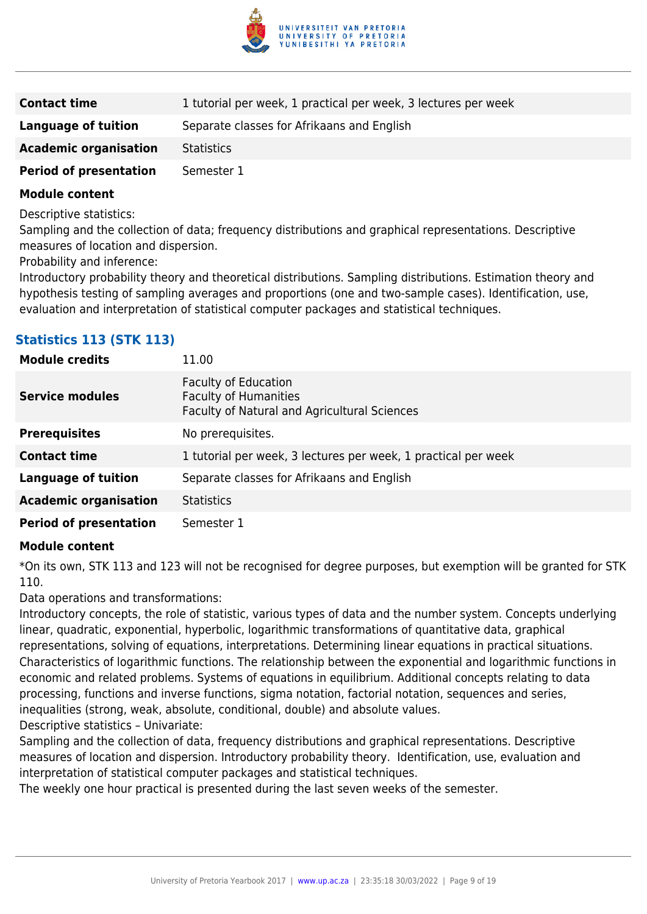

| <b>Contact time</b>           | 1 tutorial per week, 1 practical per week, 3 lectures per week |
|-------------------------------|----------------------------------------------------------------|
| Language of tuition           | Separate classes for Afrikaans and English                     |
| <b>Academic organisation</b>  | <b>Statistics</b>                                              |
| <b>Period of presentation</b> | Semester 1                                                     |

Descriptive statistics:

Sampling and the collection of data; frequency distributions and graphical representations. Descriptive measures of location and dispersion.

Probability and inference:

Introductory probability theory and theoretical distributions. Sampling distributions. Estimation theory and hypothesis testing of sampling averages and proportions (one and two-sample cases). Identification, use, evaluation and interpretation of statistical computer packages and statistical techniques.

### **Statistics 113 (STK 113)**

| <b>Module credits</b>         | 11.00                                                                                                       |
|-------------------------------|-------------------------------------------------------------------------------------------------------------|
| <b>Service modules</b>        | <b>Faculty of Education</b><br><b>Faculty of Humanities</b><br>Faculty of Natural and Agricultural Sciences |
| <b>Prerequisites</b>          | No prerequisites.                                                                                           |
| <b>Contact time</b>           | 1 tutorial per week, 3 lectures per week, 1 practical per week                                              |
| <b>Language of tuition</b>    | Separate classes for Afrikaans and English                                                                  |
| <b>Academic organisation</b>  | <b>Statistics</b>                                                                                           |
| <b>Period of presentation</b> | Semester 1                                                                                                  |

### **Module content**

\*On its own, STK 113 and 123 will not be recognised for degree purposes, but exemption will be granted for STK 110.

Data operations and transformations:

Introductory concepts, the role of statistic, various types of data and the number system. Concepts underlying linear, quadratic, exponential, hyperbolic, logarithmic transformations of quantitative data, graphical representations, solving of equations, interpretations. Determining linear equations in practical situations. Characteristics of logarithmic functions. The relationship between the exponential and logarithmic functions in economic and related problems. Systems of equations in equilibrium. Additional concepts relating to data processing, functions and inverse functions, sigma notation, factorial notation, sequences and series, inequalities (strong, weak, absolute, conditional, double) and absolute values. Descriptive statistics – Univariate:

Sampling and the collection of data, frequency distributions and graphical representations. Descriptive measures of location and dispersion. Introductory probability theory. Identification, use, evaluation and interpretation of statistical computer packages and statistical techniques.

The weekly one hour practical is presented during the last seven weeks of the semester.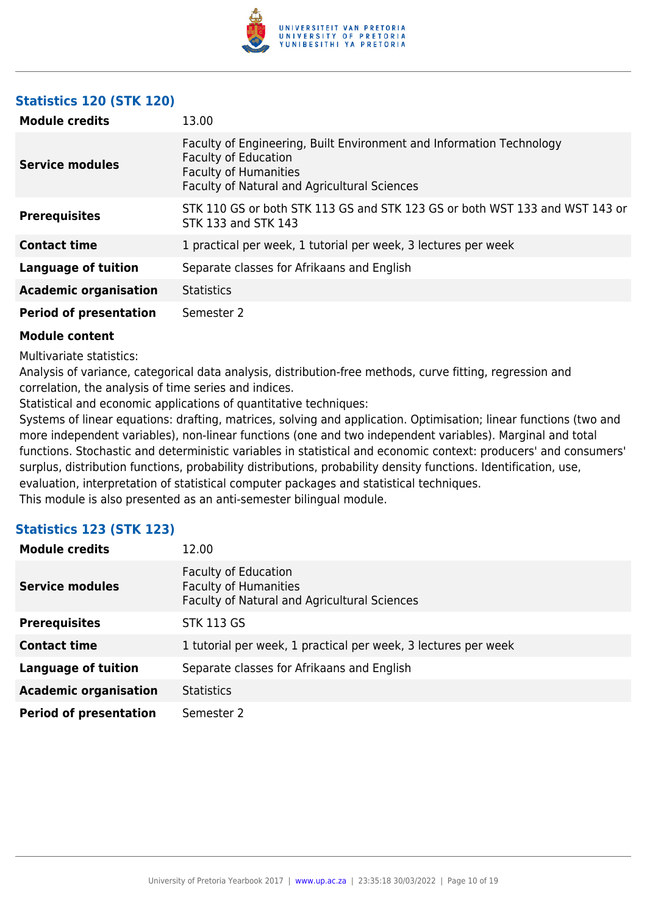

### **Statistics 120 (STK 120)**

| <b>Module credits</b>         | 13.00                                                                                                                                                                               |
|-------------------------------|-------------------------------------------------------------------------------------------------------------------------------------------------------------------------------------|
| <b>Service modules</b>        | Faculty of Engineering, Built Environment and Information Technology<br><b>Faculty of Education</b><br><b>Faculty of Humanities</b><br>Faculty of Natural and Agricultural Sciences |
| <b>Prerequisites</b>          | STK 110 GS or both STK 113 GS and STK 123 GS or both WST 133 and WST 143 or<br>STK 133 and STK 143                                                                                  |
| <b>Contact time</b>           | 1 practical per week, 1 tutorial per week, 3 lectures per week                                                                                                                      |
| <b>Language of tuition</b>    | Separate classes for Afrikaans and English                                                                                                                                          |
| <b>Academic organisation</b>  | <b>Statistics</b>                                                                                                                                                                   |
| <b>Period of presentation</b> | Semester 2                                                                                                                                                                          |

### **Module content**

Multivariate statistics:

Analysis of variance, categorical data analysis, distribution-free methods, curve fitting, regression and correlation, the analysis of time series and indices.

Statistical and economic applications of quantitative techniques:

Systems of linear equations: drafting, matrices, solving and application. Optimisation; linear functions (two and more independent variables), non-linear functions (one and two independent variables). Marginal and total functions. Stochastic and deterministic variables in statistical and economic context: producers' and consumers' surplus, distribution functions, probability distributions, probability density functions. Identification, use, evaluation, interpretation of statistical computer packages and statistical techniques. This module is also presented as an anti-semester bilingual module.

### **Statistics 123 (STK 123)**

| <b>Module credits</b>         | 12.00                                                                                                       |
|-------------------------------|-------------------------------------------------------------------------------------------------------------|
| <b>Service modules</b>        | <b>Faculty of Education</b><br><b>Faculty of Humanities</b><br>Faculty of Natural and Agricultural Sciences |
| <b>Prerequisites</b>          | <b>STK 113 GS</b>                                                                                           |
| <b>Contact time</b>           | 1 tutorial per week, 1 practical per week, 3 lectures per week                                              |
| <b>Language of tuition</b>    | Separate classes for Afrikaans and English                                                                  |
| <b>Academic organisation</b>  | <b>Statistics</b>                                                                                           |
| <b>Period of presentation</b> | Semester 2                                                                                                  |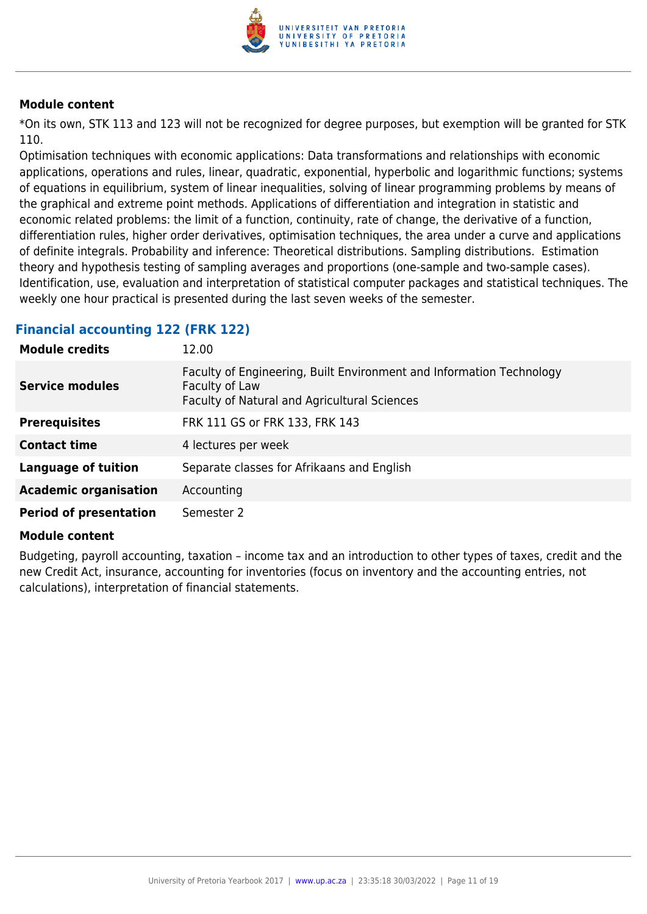

\*On its own, STK 113 and 123 will not be recognized for degree purposes, but exemption will be granted for STK 110.

Optimisation techniques with economic applications: Data transformations and relationships with economic applications, operations and rules, linear, quadratic, exponential, hyperbolic and logarithmic functions; systems of equations in equilibrium, system of linear inequalities, solving of linear programming problems by means of the graphical and extreme point methods. Applications of differentiation and integration in statistic and economic related problems: the limit of a function, continuity, rate of change, the derivative of a function, differentiation rules, higher order derivatives, optimisation techniques, the area under a curve and applications of definite integrals. Probability and inference: Theoretical distributions. Sampling distributions. Estimation theory and hypothesis testing of sampling averages and proportions (one-sample and two-sample cases). Identification, use, evaluation and interpretation of statistical computer packages and statistical techniques. The weekly one hour practical is presented during the last seven weeks of the semester.

### **Financial accounting 122 (FRK 122)**

| <b>Module credits</b>         | 12.00                                                                                                                                  |
|-------------------------------|----------------------------------------------------------------------------------------------------------------------------------------|
| <b>Service modules</b>        | Faculty of Engineering, Built Environment and Information Technology<br>Faculty of Law<br>Faculty of Natural and Agricultural Sciences |
| <b>Prerequisites</b>          | FRK 111 GS or FRK 133, FRK 143                                                                                                         |
| <b>Contact time</b>           | 4 lectures per week                                                                                                                    |
| <b>Language of tuition</b>    | Separate classes for Afrikaans and English                                                                                             |
| <b>Academic organisation</b>  | Accounting                                                                                                                             |
| <b>Period of presentation</b> | Semester 2                                                                                                                             |

### **Module content**

Budgeting, payroll accounting, taxation – income tax and an introduction to other types of taxes, credit and the new Credit Act, insurance, accounting for inventories (focus on inventory and the accounting entries, not calculations), interpretation of financial statements.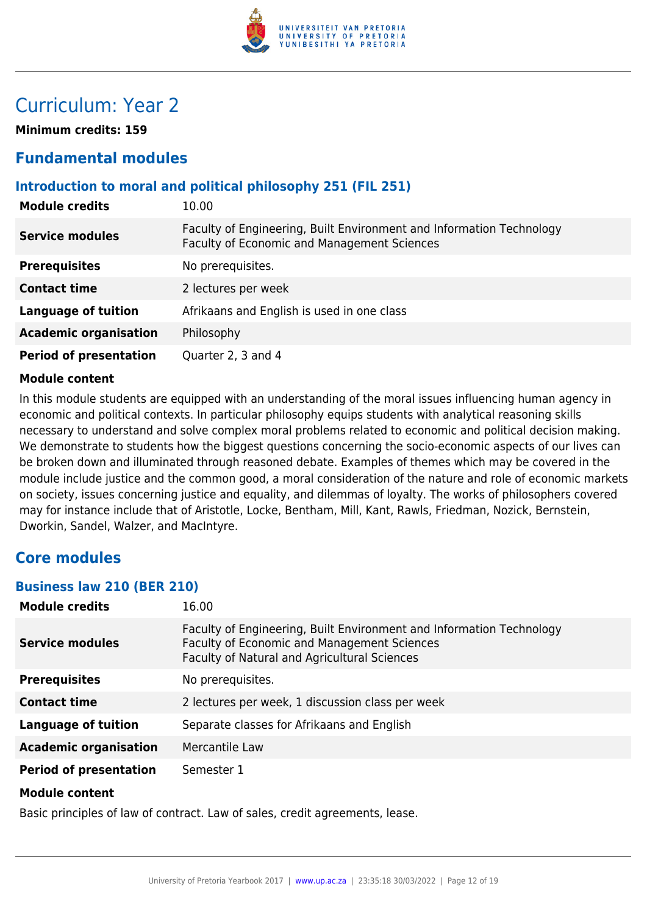

## Curriculum: Year 2

**Minimum credits: 159**

### **Fundamental modules**

### **Introduction to moral and political philosophy 251 (FIL 251)**

| <b>Module credits</b>         | 10.00                                                                                                               |
|-------------------------------|---------------------------------------------------------------------------------------------------------------------|
| <b>Service modules</b>        | Faculty of Engineering, Built Environment and Information Technology<br>Faculty of Economic and Management Sciences |
| <b>Prerequisites</b>          | No prerequisites.                                                                                                   |
| <b>Contact time</b>           | 2 lectures per week                                                                                                 |
| <b>Language of tuition</b>    | Afrikaans and English is used in one class                                                                          |
| <b>Academic organisation</b>  | Philosophy                                                                                                          |
| <b>Period of presentation</b> | Quarter 2, 3 and 4                                                                                                  |

### **Module content**

In this module students are equipped with an understanding of the moral issues influencing human agency in economic and political contexts. In particular philosophy equips students with analytical reasoning skills necessary to understand and solve complex moral problems related to economic and political decision making. We demonstrate to students how the biggest questions concerning the socio-economic aspects of our lives can be broken down and illuminated through reasoned debate. Examples of themes which may be covered in the module include justice and the common good, a moral consideration of the nature and role of economic markets on society, issues concerning justice and equality, and dilemmas of loyalty. The works of philosophers covered may for instance include that of Aristotle, Locke, Bentham, Mill, Kant, Rawls, Friedman, Nozick, Bernstein, Dworkin, Sandel, Walzer, and MacIntyre.

### **Core modules**

### **Business law 210 (BER 210)**

| <b>Module credits</b>         | 16.00                                                                                                                                                               |
|-------------------------------|---------------------------------------------------------------------------------------------------------------------------------------------------------------------|
| <b>Service modules</b>        | Faculty of Engineering, Built Environment and Information Technology<br>Faculty of Economic and Management Sciences<br>Faculty of Natural and Agricultural Sciences |
| <b>Prerequisites</b>          | No prerequisites.                                                                                                                                                   |
| <b>Contact time</b>           | 2 lectures per week, 1 discussion class per week                                                                                                                    |
| <b>Language of tuition</b>    | Separate classes for Afrikaans and English                                                                                                                          |
| <b>Academic organisation</b>  | Mercantile Law                                                                                                                                                      |
| <b>Period of presentation</b> | Semester 1                                                                                                                                                          |
| <b>Module content</b>         |                                                                                                                                                                     |

Basic principles of law of contract. Law of sales, credit agreements, lease.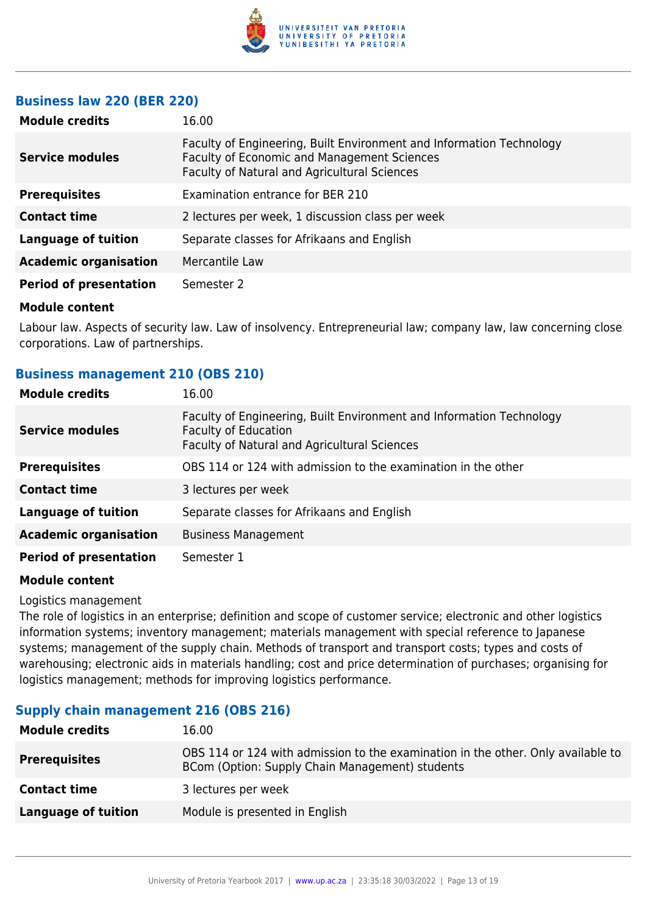

### **Business law 220 (BER 220)**

| <b>Module credits</b>         | 16.00                                                                                                                                                                      |
|-------------------------------|----------------------------------------------------------------------------------------------------------------------------------------------------------------------------|
| <b>Service modules</b>        | Faculty of Engineering, Built Environment and Information Technology<br><b>Faculty of Economic and Management Sciences</b><br>Faculty of Natural and Agricultural Sciences |
| <b>Prerequisites</b>          | Examination entrance for BER 210                                                                                                                                           |
| <b>Contact time</b>           | 2 lectures per week, 1 discussion class per week                                                                                                                           |
| <b>Language of tuition</b>    | Separate classes for Afrikaans and English                                                                                                                                 |
| <b>Academic organisation</b>  | Mercantile Law                                                                                                                                                             |
| <b>Period of presentation</b> | Semester 2                                                                                                                                                                 |
| .                             |                                                                                                                                                                            |

### **Module content**

Labour law. Aspects of security law. Law of insolvency. Entrepreneurial law; company law, law concerning close corporations. Law of partnerships.

### **Business management 210 (OBS 210)**

| <b>Module credits</b>         | 16.00                                                                                                                                               |
|-------------------------------|-----------------------------------------------------------------------------------------------------------------------------------------------------|
| <b>Service modules</b>        | Faculty of Engineering, Built Environment and Information Technology<br><b>Faculty of Education</b><br>Faculty of Natural and Agricultural Sciences |
| <b>Prerequisites</b>          | OBS 114 or 124 with admission to the examination in the other                                                                                       |
| <b>Contact time</b>           | 3 lectures per week                                                                                                                                 |
| <b>Language of tuition</b>    | Separate classes for Afrikaans and English                                                                                                          |
| <b>Academic organisation</b>  | <b>Business Management</b>                                                                                                                          |
| <b>Period of presentation</b> | Semester 1                                                                                                                                          |

### **Module content**

Logistics management

The role of logistics in an enterprise; definition and scope of customer service; electronic and other logistics information systems; inventory management; materials management with special reference to Japanese systems; management of the supply chain. Methods of transport and transport costs; types and costs of warehousing; electronic aids in materials handling; cost and price determination of purchases; organising for logistics management; methods for improving logistics performance.

### **Supply chain management 216 (OBS 216)**

| <b>Module credits</b> | 16.00                                                                                                                               |
|-----------------------|-------------------------------------------------------------------------------------------------------------------------------------|
| <b>Prerequisites</b>  | OBS 114 or 124 with admission to the examination in the other. Only available to<br>BCom (Option: Supply Chain Management) students |
| <b>Contact time</b>   | 3 lectures per week                                                                                                                 |
| Language of tuition   | Module is presented in English                                                                                                      |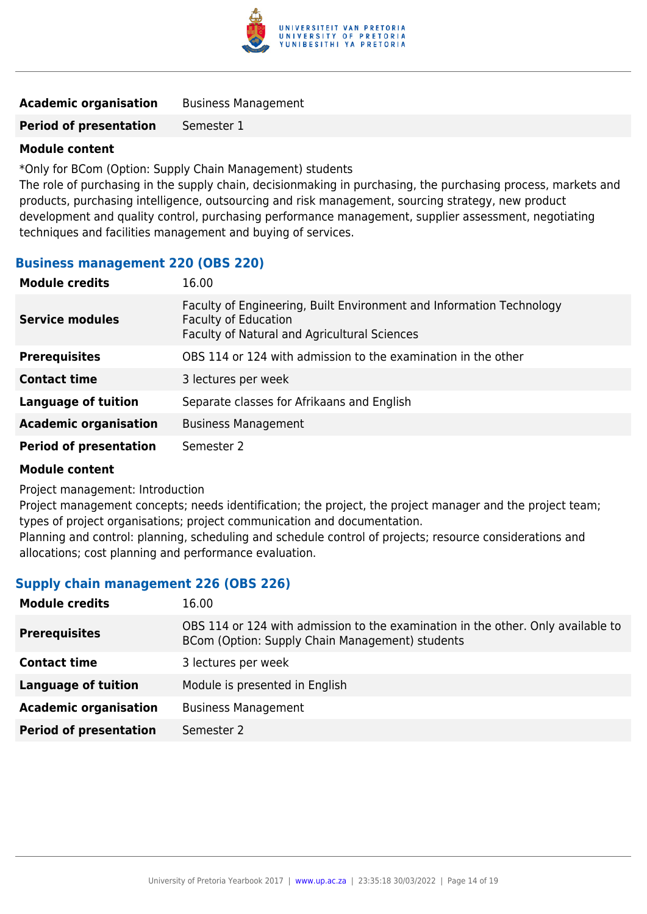

| <b>Academic organisation</b> | <b>Business Management</b> |
|------------------------------|----------------------------|
|------------------------------|----------------------------|

**Period of presentation** Semester 1

### **Module content**

\*Only for BCom (Option: Supply Chain Management) students

The role of purchasing in the supply chain, decisionmaking in purchasing, the purchasing process, markets and products, purchasing intelligence, outsourcing and risk management, sourcing strategy, new product development and quality control, purchasing performance management, supplier assessment, negotiating techniques and facilities management and buying of services.

### **Business management 220 (OBS 220)**

| <b>Module credits</b>         | 16.00                                                                                                                                               |
|-------------------------------|-----------------------------------------------------------------------------------------------------------------------------------------------------|
| <b>Service modules</b>        | Faculty of Engineering, Built Environment and Information Technology<br><b>Faculty of Education</b><br>Faculty of Natural and Agricultural Sciences |
| <b>Prerequisites</b>          | OBS 114 or 124 with admission to the examination in the other                                                                                       |
| <b>Contact time</b>           | 3 lectures per week                                                                                                                                 |
| <b>Language of tuition</b>    | Separate classes for Afrikaans and English                                                                                                          |
| <b>Academic organisation</b>  | <b>Business Management</b>                                                                                                                          |
| <b>Period of presentation</b> | Semester 2                                                                                                                                          |

### **Module content**

Project management: Introduction

Project management concepts; needs identification; the project, the project manager and the project team; types of project organisations; project communication and documentation.

Planning and control: planning, scheduling and schedule control of projects; resource considerations and allocations; cost planning and performance evaluation.

### **Supply chain management 226 (OBS 226)**

| <b>Module credits</b>         | 16.00                                                                                                                               |
|-------------------------------|-------------------------------------------------------------------------------------------------------------------------------------|
| <b>Prerequisites</b>          | OBS 114 or 124 with admission to the examination in the other. Only available to<br>BCom (Option: Supply Chain Management) students |
| <b>Contact time</b>           | 3 lectures per week                                                                                                                 |
| <b>Language of tuition</b>    | Module is presented in English                                                                                                      |
| <b>Academic organisation</b>  | <b>Business Management</b>                                                                                                          |
| <b>Period of presentation</b> | Semester 2                                                                                                                          |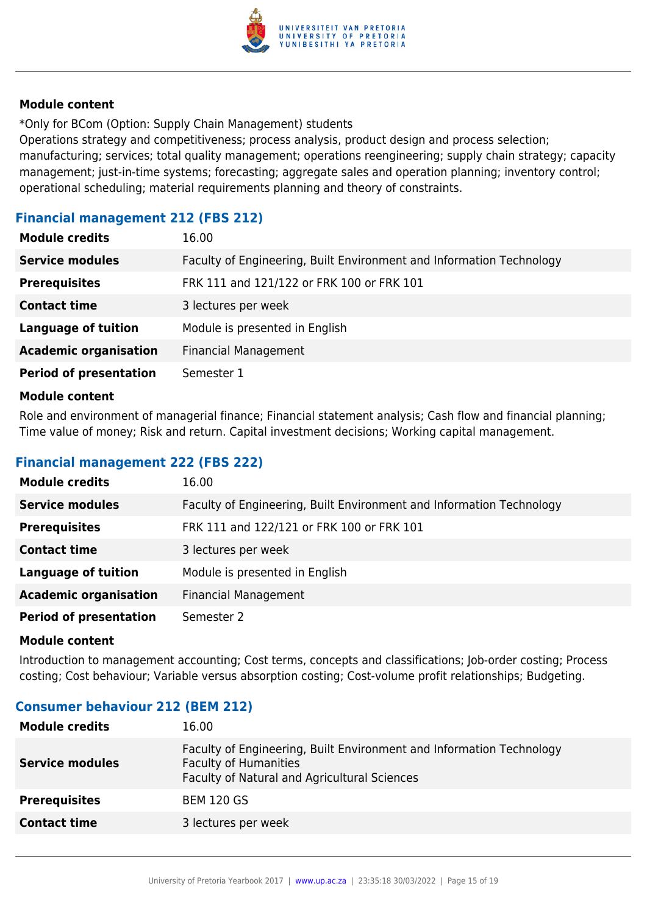

\*Only for BCom (Option: Supply Chain Management) students

Operations strategy and competitiveness; process analysis, product design and process selection; manufacturing; services; total quality management; operations reengineering; supply chain strategy; capacity management; just-in-time systems; forecasting; aggregate sales and operation planning; inventory control; operational scheduling; material requirements planning and theory of constraints.

### **Financial management 212 (FBS 212)**

| <b>Module credits</b>         | 16.00                                                                |
|-------------------------------|----------------------------------------------------------------------|
| <b>Service modules</b>        | Faculty of Engineering, Built Environment and Information Technology |
| <b>Prerequisites</b>          | FRK 111 and 121/122 or FRK 100 or FRK 101                            |
| <b>Contact time</b>           | 3 lectures per week                                                  |
| <b>Language of tuition</b>    | Module is presented in English                                       |
| <b>Academic organisation</b>  | <b>Financial Management</b>                                          |
| <b>Period of presentation</b> | Semester 1                                                           |

### **Module content**

Role and environment of managerial finance; Financial statement analysis; Cash flow and financial planning; Time value of money; Risk and return. Capital investment decisions; Working capital management.

### **Financial management 222 (FBS 222)**

| <b>Module credits</b>         | 16.00                                                                |
|-------------------------------|----------------------------------------------------------------------|
| <b>Service modules</b>        | Faculty of Engineering, Built Environment and Information Technology |
| <b>Prerequisites</b>          | FRK 111 and 122/121 or FRK 100 or FRK 101                            |
| <b>Contact time</b>           | 3 lectures per week                                                  |
| <b>Language of tuition</b>    | Module is presented in English                                       |
| <b>Academic organisation</b>  | <b>Financial Management</b>                                          |
| <b>Period of presentation</b> | Semester 2                                                           |

### **Module content**

Introduction to management accounting; Cost terms, concepts and classifications; Job-order costing; Process costing; Cost behaviour; Variable versus absorption costing; Cost-volume profit relationships; Budgeting.

### **Consumer behaviour 212 (BEM 212)**

| <b>Module credits</b>  | 16.00                                                                                                                                                |
|------------------------|------------------------------------------------------------------------------------------------------------------------------------------------------|
| <b>Service modules</b> | Faculty of Engineering, Built Environment and Information Technology<br><b>Faculty of Humanities</b><br>Faculty of Natural and Agricultural Sciences |
| <b>Prerequisites</b>   | <b>BEM 120 GS</b>                                                                                                                                    |
| <b>Contact time</b>    | 3 lectures per week                                                                                                                                  |
|                        |                                                                                                                                                      |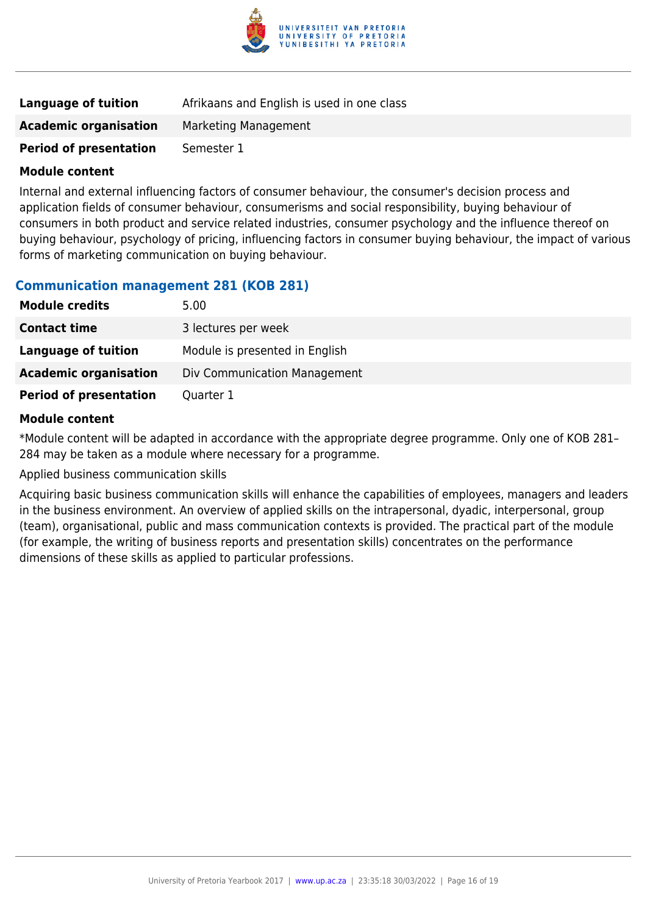

| Language of tuition           | Afrikaans and English is used in one class |
|-------------------------------|--------------------------------------------|
| <b>Academic organisation</b>  | Marketing Management                       |
| <b>Period of presentation</b> | Semester 1                                 |

Internal and external influencing factors of consumer behaviour, the consumer's decision process and application fields of consumer behaviour, consumerisms and social responsibility, buying behaviour of consumers in both product and service related industries, consumer psychology and the influence thereof on buying behaviour, psychology of pricing, influencing factors in consumer buying behaviour, the impact of various forms of marketing communication on buying behaviour.

### **Communication management 281 (KOB 281)**

| <b>Module credits</b>         | 5.00                           |
|-------------------------------|--------------------------------|
| <b>Contact time</b>           | 3 lectures per week            |
| Language of tuition           | Module is presented in English |
| <b>Academic organisation</b>  | Div Communication Management   |
| <b>Period of presentation</b> | Quarter 1                      |

### **Module content**

\*Module content will be adapted in accordance with the appropriate degree programme. Only one of KOB 281– 284 may be taken as a module where necessary for a programme.

Applied business communication skills

Acquiring basic business communication skills will enhance the capabilities of employees, managers and leaders in the business environment. An overview of applied skills on the intrapersonal, dyadic, interpersonal, group (team), organisational, public and mass communication contexts is provided. The practical part of the module (for example, the writing of business reports and presentation skills) concentrates on the performance dimensions of these skills as applied to particular professions.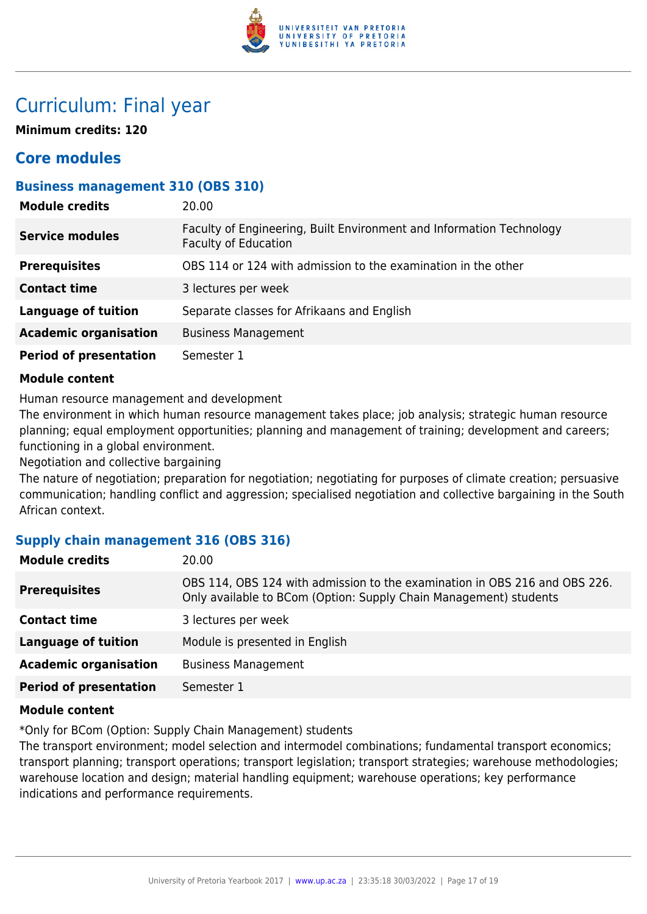

## Curriculum: Final year

**Minimum credits: 120**

### **Core modules**

### **Business management 310 (OBS 310)**

| <b>Module credits</b>         | 20.00                                                                                               |
|-------------------------------|-----------------------------------------------------------------------------------------------------|
| <b>Service modules</b>        | Faculty of Engineering, Built Environment and Information Technology<br><b>Faculty of Education</b> |
| <b>Prerequisites</b>          | OBS 114 or 124 with admission to the examination in the other                                       |
| <b>Contact time</b>           | 3 lectures per week                                                                                 |
| <b>Language of tuition</b>    | Separate classes for Afrikaans and English                                                          |
| <b>Academic organisation</b>  | <b>Business Management</b>                                                                          |
| <b>Period of presentation</b> | Semester 1                                                                                          |

### **Module content**

Human resource management and development

The environment in which human resource management takes place; job analysis; strategic human resource planning; equal employment opportunities; planning and management of training; development and careers; functioning in a global environment.

Negotiation and collective bargaining

The nature of negotiation; preparation for negotiation; negotiating for purposes of climate creation; persuasive communication; handling conflict and aggression; specialised negotiation and collective bargaining in the South African context.

### **Supply chain management 316 (OBS 316)**

| <b>Module credits</b>         | 20.00                                                                                                                                           |
|-------------------------------|-------------------------------------------------------------------------------------------------------------------------------------------------|
| <b>Prerequisites</b>          | OBS 114, OBS 124 with admission to the examination in OBS 216 and OBS 226.<br>Only available to BCom (Option: Supply Chain Management) students |
| <b>Contact time</b>           | 3 lectures per week                                                                                                                             |
| <b>Language of tuition</b>    | Module is presented in English                                                                                                                  |
| <b>Academic organisation</b>  | <b>Business Management</b>                                                                                                                      |
| <b>Period of presentation</b> | Semester 1                                                                                                                                      |

### **Module content**

\*Only for BCom (Option: Supply Chain Management) students

The transport environment; model selection and intermodel combinations; fundamental transport economics; transport planning; transport operations; transport legislation; transport strategies; warehouse methodologies; warehouse location and design; material handling equipment; warehouse operations; key performance indications and performance requirements.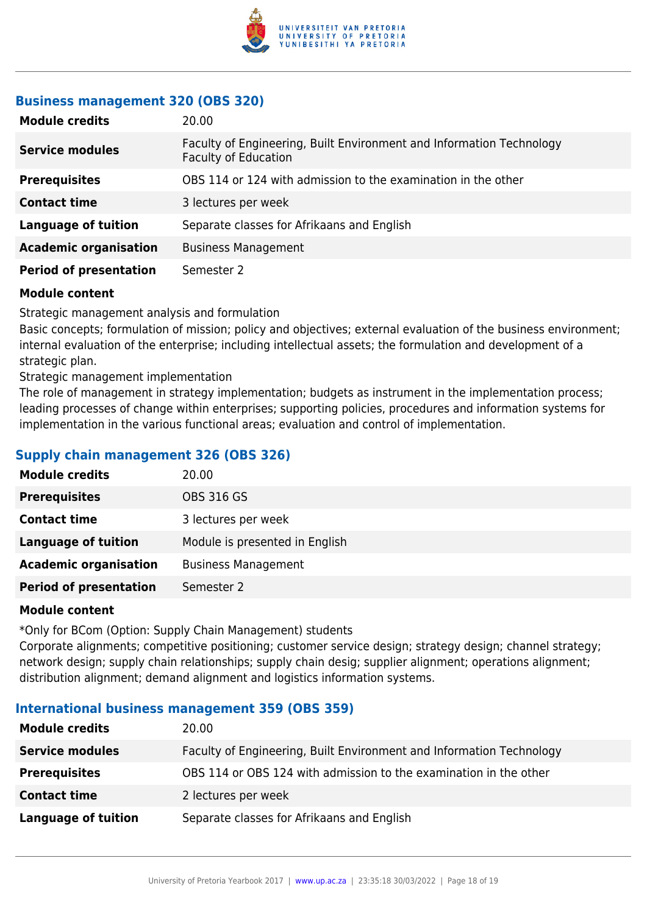

### **Business management 320 (OBS 320)**

| <b>Module credits</b>         | 20.00                                                                                               |
|-------------------------------|-----------------------------------------------------------------------------------------------------|
| <b>Service modules</b>        | Faculty of Engineering, Built Environment and Information Technology<br><b>Faculty of Education</b> |
| <b>Prerequisites</b>          | OBS 114 or 124 with admission to the examination in the other                                       |
| <b>Contact time</b>           | 3 lectures per week                                                                                 |
| <b>Language of tuition</b>    | Separate classes for Afrikaans and English                                                          |
| <b>Academic organisation</b>  | <b>Business Management</b>                                                                          |
| <b>Period of presentation</b> | Semester 2                                                                                          |

### **Module content**

Strategic management analysis and formulation

Basic concepts; formulation of mission; policy and objectives; external evaluation of the business environment; internal evaluation of the enterprise; including intellectual assets; the formulation and development of a strategic plan.

Strategic management implementation

The role of management in strategy implementation; budgets as instrument in the implementation process; leading processes of change within enterprises; supporting policies, procedures and information systems for implementation in the various functional areas; evaluation and control of implementation.

### **Supply chain management 326 (OBS 326)**

| <b>Module credits</b>         | 20.00                          |
|-------------------------------|--------------------------------|
| <b>Prerequisites</b>          | <b>OBS 316 GS</b>              |
| <b>Contact time</b>           | 3 lectures per week            |
| <b>Language of tuition</b>    | Module is presented in English |
| <b>Academic organisation</b>  | <b>Business Management</b>     |
| <b>Period of presentation</b> | Semester 2                     |

### **Module content**

\*Only for BCom (Option: Supply Chain Management) students

Corporate alignments; competitive positioning; customer service design; strategy design; channel strategy; network design; supply chain relationships; supply chain desig; supplier alignment; operations alignment; distribution alignment; demand alignment and logistics information systems.

### **International business management 359 (OBS 359)**

| <b>Module credits</b>      | 20.00                                                                |
|----------------------------|----------------------------------------------------------------------|
| <b>Service modules</b>     | Faculty of Engineering, Built Environment and Information Technology |
| <b>Prerequisites</b>       | OBS 114 or OBS 124 with admission to the examination in the other    |
| <b>Contact time</b>        | 2 lectures per week                                                  |
| <b>Language of tuition</b> | Separate classes for Afrikaans and English                           |